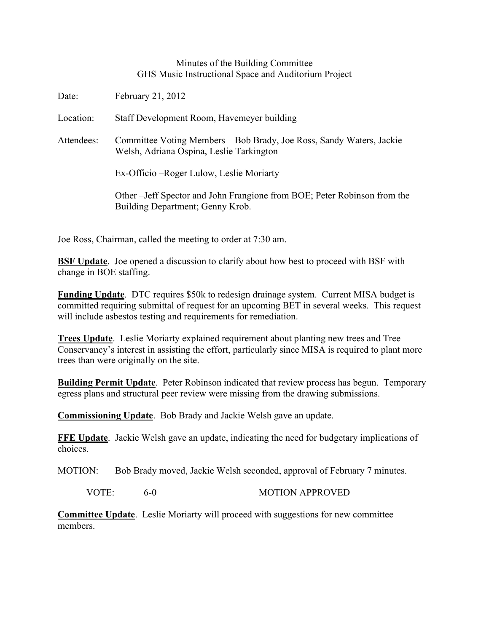## Minutes of the Building Committee GHS Music Instructional Space and Auditorium Project

| Date:      | February 21, 2012                                                                                                |
|------------|------------------------------------------------------------------------------------------------------------------|
| Location:  | Staff Development Room, Havemeyer building                                                                       |
| Attendees: | Committee Voting Members - Bob Brady, Joe Ross, Sandy Waters, Jackie<br>Welsh, Adriana Ospina, Leslie Tarkington |
|            | Ex-Officio – Roger Lulow, Leslie Moriarty                                                                        |
|            | Other – Jeff Spector and John Frangione from BOE; Peter Robinson from the<br>Building Department; Genny Krob.    |

Joe Ross, Chairman, called the meeting to order at 7:30 am.

**BSF Update**. Joe opened a discussion to clarify about how best to proceed with BSF with change in BOE staffing.

**Funding Update**. DTC requires \$50k to redesign drainage system. Current MISA budget is committed requiring submittal of request for an upcoming BET in several weeks. This request will include asbestos testing and requirements for remediation.

**Trees Update**. Leslie Moriarty explained requirement about planting new trees and Tree Conservancy's interest in assisting the effort, particularly since MISA is required to plant more trees than were originally on the site.

**Building Permit Update**. Peter Robinson indicated that review process has begun. Temporary egress plans and structural peer review were missing from the drawing submissions.

**Commissioning Update**. Bob Brady and Jackie Welsh gave an update.

**FFE Update**. Jackie Welsh gave an update, indicating the need for budgetary implications of choices.

MOTION: Bob Brady moved, Jackie Welsh seconded, approval of February 7 minutes.

VOTE: 6-0 MOTION APPROVED

**Committee Update**. Leslie Moriarty will proceed with suggestions for new committee members.